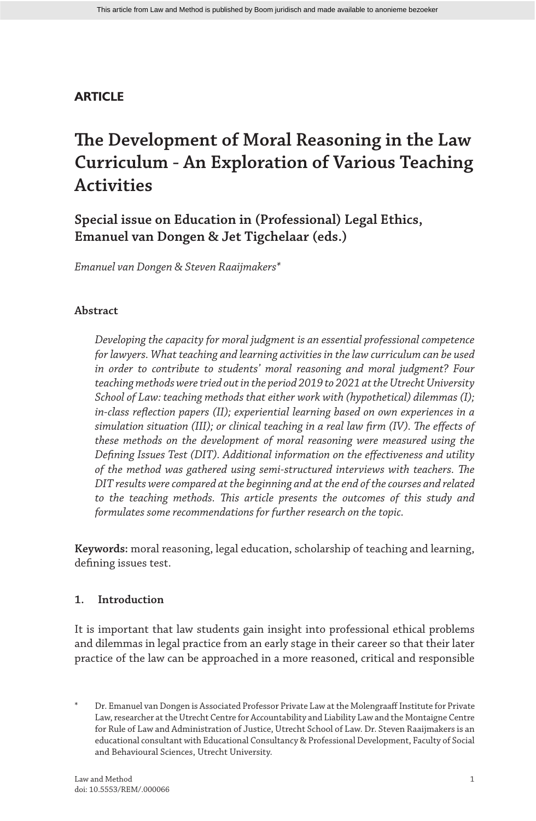# **ARTICLE**

# **The Development of Moral Reasoning in the Law Curriculum - An Exploration of Various Teaching Activities**

**Special issue on Education in (Professional) Legal Ethics, Emanuel van Dongen & Jet Tigchelaar (eds.)**

*Emanuel van Dongen & Steven Raaijmakers\**

# **Abstract**

*Developing the capacity for moral judgment is an essential professional competence for lawyers. What teaching and learning activities in the law curriculum can be used in order to contribute to students' moral reasoning and moral judgment? Four teaching methods were tried out in the period 2019 to 2021 at the Utrecht University School of Law: teaching methods that either work with (hypothetical) dilemmas (I); in-class reflection papers (II); experiential learning based on own experiences in a simulation situation (III); or clinical teaching in a real law firm (IV). The effects of these methods on the development of moral reasoning were measured using the Defining Issues Test (DIT). Additional information on the effectiveness and utility of the method was gathered using semi-structured interviews with teachers. The DIT results were compared at the beginning and at the end of the courses and related to the teaching methods. This article presents the outcomes of this study and formulates some recommendations for further research on the topic.*

**Keywords:** moral reasoning, legal education, scholarship of teaching and learning, defining issues test.

# **1. Introduction**

It is important that law students gain insight into professional ethical problems and dilemmas in legal practice from an early stage in their career so that their later practice of the law can be approached in a more reasoned, critical and responsible

Dr. Emanuel van Dongen is Associated Professor Private Law at the Molengraaff Institute for Private Law, researcher at the Utrecht Centre for Accountability and Liability Law and the Montaigne Centre for Rule of Law and Administration of Justice, Utrecht School of Law. Dr. Steven Raaijmakers is an educational consultant with Educational Consultancy & Professional Development, Faculty of Social and Behavioural Sciences, Utrecht University.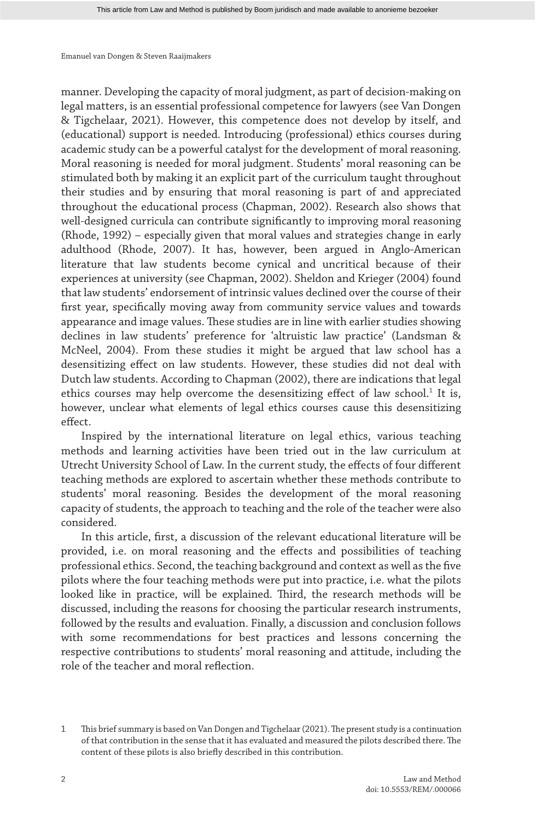manner. Developing the capacity of moral judgment, as part of decision-making on legal matters, is an essential professional competence for lawyers (see Van Dongen & Tigchelaar, 2021). However, this competence does not develop by itself, and (educational) support is needed. Introducing (professional) ethics courses during academic study can be a powerful catalyst for the development of moral reasoning. Moral reasoning is needed for moral judgment. Students' moral reasoning can be stimulated both by making it an explicit part of the curriculum taught throughout their studies and by ensuring that moral reasoning is part of and appreciated throughout the educational process (Chapman, 2002). Research also shows that well-designed curricula can contribute significantly to improving moral reasoning (Rhode, 1992) – especially given that moral values and strategies change in early adulthood (Rhode, 2007). It has, however, been argued in Anglo-American literature that law students become cynical and uncritical because of their experiences at university (see Chapman, 2002). Sheldon and Krieger (2004) found that law students' endorsement of intrinsic values declined over the course of their first year, specifically moving away from community service values and towards appearance and image values. These studies are in line with earlier studies showing declines in law students' preference for 'altruistic law practice' (Landsman & McNeel, 2004). From these studies it might be argued that law school has a desensitizing effect on law students. However, these studies did not deal with Dutch law students. According to Chapman (2002), there are indications that legal ethics courses may help overcome the desensitizing effect of law school.<sup>1</sup> It is, however, unclear what elements of legal ethics courses cause this desensitizing effect.

Inspired by the international literature on legal ethics, various teaching methods and learning activities have been tried out in the law curriculum at Utrecht University School of Law. In the current study, the effects of four different teaching methods are explored to ascertain whether these methods contribute to students' moral reasoning. Besides the development of the moral reasoning capacity of students, the approach to teaching and the role of the teacher were also considered.

In this article, first, a discussion of the relevant educational literature will be provided, i.e. on moral reasoning and the effects and possibilities of teaching professional ethics. Second, the teaching background and context as well as the five pilots where the four teaching methods were put into practice, i.e. what the pilots looked like in practice, will be explained. Third, the research methods will be discussed, including the reasons for choosing the particular research instruments, followed by the results and evaluation. Finally, a discussion and conclusion follows with some recommendations for best practices and lessons concerning the respective contributions to students' moral reasoning and attitude, including the role of the teacher and moral reflection.

<sup>1</sup> This brief summary is based on Van Dongen and Tigchelaar (2021). The present study is a continuation of that contribution in the sense that it has evaluated and measured the pilots described there. The content of these pilots is also briefly described in this contribution.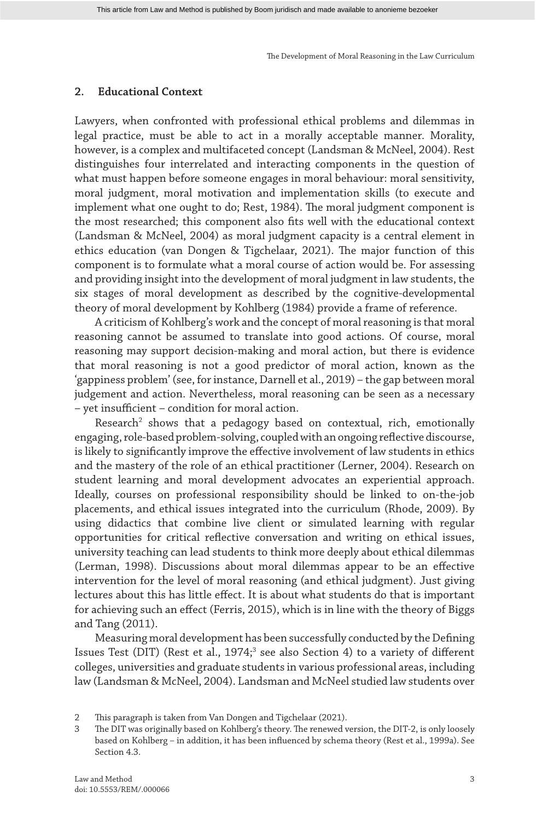# **2. Educational Context**

Lawyers, when confronted with professional ethical problems and dilemmas in legal practice, must be able to act in a morally acceptable manner. Morality, however, is a complex and multifaceted concept (Landsman & McNeel, 2004). Rest distinguishes four interrelated and interacting components in the question of what must happen before someone engages in moral behaviour: moral sensitivity, moral judgment, moral motivation and implementation skills (to execute and implement what one ought to do; Rest, 1984). The moral judgment component is the most researched; this component also fits well with the educational context (Landsman & McNeel, 2004) as moral judgment capacity is a central element in ethics education (van Dongen & Tigchelaar, 2021). The major function of this component is to formulate what a moral course of action would be. For assessing and providing insight into the development of moral judgment in law students, the six stages of moral development as described by the cognitive-developmental theory of moral development by Kohlberg (1984) provide a frame of reference.

A criticism of Kohlberg's work and the concept of moral reasoning is that moral reasoning cannot be assumed to translate into good actions. Of course, moral reasoning may support decision-making and moral action, but there is evidence that moral reasoning is not a good predictor of moral action, known as the 'gappiness problem' (see, for instance, Darnell et al., 2019) – the gap between moral judgement and action. Nevertheless, moral reasoning can be seen as a necessary – yet insufficient – condition for moral action.

Research<sup>2</sup> shows that a pedagogy based on contextual, rich, emotionally engaging, role-based problem-solving, coupled with an ongoing reflective discourse, is likely to significantly improve the effective involvement of law students in ethics and the mastery of the role of an ethical practitioner (Lerner, 2004). Research on student learning and moral development advocates an experiential approach. Ideally, courses on professional responsibility should be linked to on-the-job placements, and ethical issues integrated into the curriculum (Rhode, 2009). By using didactics that combine live client or simulated learning with regular opportunities for critical reflective conversation and writing on ethical issues, university teaching can lead students to think more deeply about ethical dilemmas (Lerman, 1998). Discussions about moral dilemmas appear to be an effective intervention for the level of moral reasoning (and ethical judgment). Just giving lectures about this has little effect. It is about what students do that is important for achieving such an effect (Ferris, 2015), which is in line with the theory of Biggs and Tang (2011).

Measuring moral development has been successfully conducted by the Defining Issues Test (DIT) (Rest et al., 1974;<sup>3</sup> see also Section 4) to a variety of different colleges, universities and graduate students in various professional areas, including law (Landsman & McNeel, 2004). Landsman and McNeel studied law students over

<sup>2</sup> This paragraph is taken from Van Dongen and Tigchelaar (2021).

<sup>3</sup> The DIT was originally based on Kohlberg's theory. The renewed version, the DIT-2, is only loosely based on Kohlberg – in addition, it has been influenced by schema theory (Rest et al., 1999a). See Section 4.3.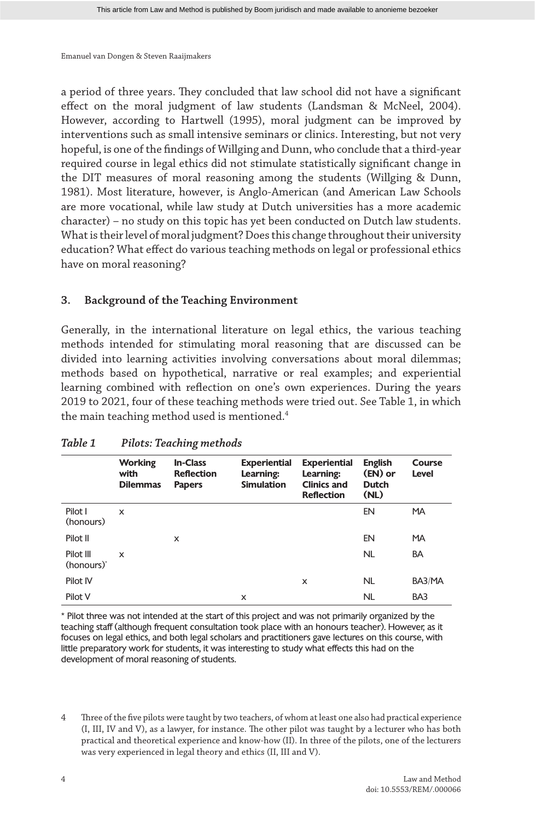a period of three years. They concluded that law school did not have a significant effect on the moral judgment of law students (Landsman & McNeel, 2004). However, according to Hartwell (1995), moral judgment can be improved by interventions such as small intensive seminars or clinics. Interesting, but not very hopeful, is one of the findings of Willging and Dunn, who conclude that a third-year required course in legal ethics did not stimulate statistically significant change in the DIT measures of moral reasoning among the students (Willging & Dunn, 1981). Most literature, however, is Anglo-American (and American Law Schools are more vocational, while law study at Dutch universities has a more academic character) – no study on this topic has yet been conducted on Dutch law students. What is their level of moral judgment? Does this change throughout their university education? What effect do various teaching methods on legal or professional ethics have on moral reasoning?

# **3. Background of the Teaching Environment**

Generally, in the international literature on legal ethics, the various teaching methods intended for stimulating moral reasoning that are discussed can be divided into learning activities involving conversations about moral dilemmas; methods based on hypothetical, narrative or real examples; and experiential learning combined with reflection on one's own experiences. During the years 2019 to 2021, four of these teaching methods were tried out. See Table 1, in which the main teaching method used is mentioned.<sup>4</sup>

|                                     | <b>Working</b><br>with<br><b>Dilemmas</b> | <b>In-Class</b><br><b>Reflection</b><br><b>Papers</b> | <b>Experiential</b><br>Learning:<br><b>Simulation</b> | <b>Experiential</b><br>Learning:<br><b>Clinics and</b><br><b>Reflection</b> | <b>English</b><br>(EN) or<br><b>Dutch</b><br>(NL) | Course<br>Level |
|-------------------------------------|-------------------------------------------|-------------------------------------------------------|-------------------------------------------------------|-----------------------------------------------------------------------------|---------------------------------------------------|-----------------|
| Pilot I<br>(honours)                | x                                         |                                                       |                                                       |                                                                             | EN                                                | <b>MA</b>       |
| Pilot II                            |                                           | x                                                     |                                                       |                                                                             | EN                                                | <b>MA</b>       |
| Pilot III<br>(honours) <sup>*</sup> | $\mathsf{x}$                              |                                                       |                                                       |                                                                             | <b>NL</b>                                         | <b>BA</b>       |
| Pilot IV                            |                                           |                                                       |                                                       | x                                                                           | <b>NL</b>                                         | BA3/MA          |
| Pilot V                             |                                           |                                                       | X                                                     |                                                                             | NL                                                | BA3             |

# *Table 1 Pilots: Teaching methods*

\* Pilot three was not intended at the start of this project and was not primarily organized by the teaching staff (although frequent consultation took place with an honours teacher). However, as it focuses on legal ethics, and both legal scholars and practitioners gave lectures on this course, with little preparatory work for students, it was interesting to study what effects this had on the development of moral reasoning of students.

4 Three of the five pilots were taught by two teachers, of whom at least one also had practical experience (I, III, IV and V), as a lawyer, for instance. The other pilot was taught by a lecturer who has both practical and theoretical experience and know-how (II). In three of the pilots, one of the lecturers was very experienced in legal theory and ethics (II, III and V).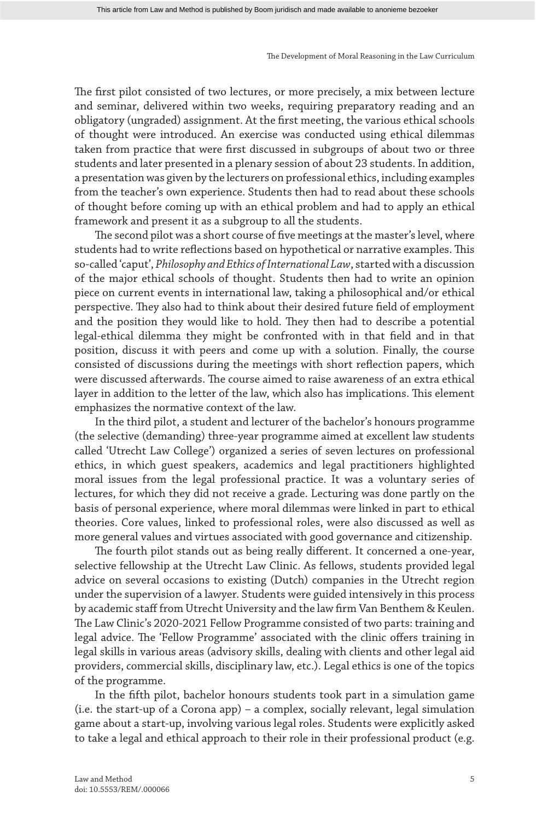The first pilot consisted of two lectures, or more precisely, a mix between lecture and seminar, delivered within two weeks, requiring preparatory reading and an obligatory (ungraded) assignment. At the first meeting, the various ethical schools of thought were introduced. An exercise was conducted using ethical dilemmas taken from practice that were first discussed in subgroups of about two or three students and later presented in a plenary session of about 23 students. In addition, a presentation was given by the lecturers on professional ethics, including examples from the teacher's own experience. Students then had to read about these schools of thought before coming up with an ethical problem and had to apply an ethical framework and present it as a subgroup to all the students.

The second pilot was a short course of five meetings at the master's level, where students had to write reflections based on hypothetical or narrative examples. This so-called 'caput', *Philosophy and Ethics of International Law*, started with a discussion of the major ethical schools of thought. Students then had to write an opinion piece on current events in international law, taking a philosophical and/or ethical perspective. They also had to think about their desired future field of employment and the position they would like to hold. They then had to describe a potential legal-ethical dilemma they might be confronted with in that field and in that position, discuss it with peers and come up with a solution. Finally, the course consisted of discussions during the meetings with short reflection papers, which were discussed afterwards. The course aimed to raise awareness of an extra ethical layer in addition to the letter of the law, which also has implications. This element emphasizes the normative context of the law.

In the third pilot, a student and lecturer of the bachelor's honours programme (the selective (demanding) three-year programme aimed at excellent law students called 'Utrecht Law College') organized a series of seven lectures on professional ethics, in which guest speakers, academics and legal practitioners highlighted moral issues from the legal professional practice. It was a voluntary series of lectures, for which they did not receive a grade. Lecturing was done partly on the basis of personal experience, where moral dilemmas were linked in part to ethical theories. Core values, linked to professional roles, were also discussed as well as more general values and virtues associated with good governance and citizenship.

The fourth pilot stands out as being really different. It concerned a one-year, selective fellowship at the Utrecht Law Clinic. As fellows, students provided legal advice on several occasions to existing (Dutch) companies in the Utrecht region under the supervision of a lawyer. Students were guided intensively in this process by academic staff from Utrecht University and the law firm Van Benthem & Keulen. The Law Clinic's 2020-2021 Fellow Programme consisted of two parts: training and legal advice. The 'Fellow Programme' associated with the clinic offers training in legal skills in various areas (advisory skills, dealing with clients and other legal aid providers, commercial skills, disciplinary law, etc.). Legal ethics is one of the topics of the programme.

In the fifth pilot, bachelor honours students took part in a simulation game (i.e. the start-up of a Corona app) – a complex, socially relevant, legal simulation game about a start-up, involving various legal roles. Students were explicitly asked to take a legal and ethical approach to their role in their professional product (e.g.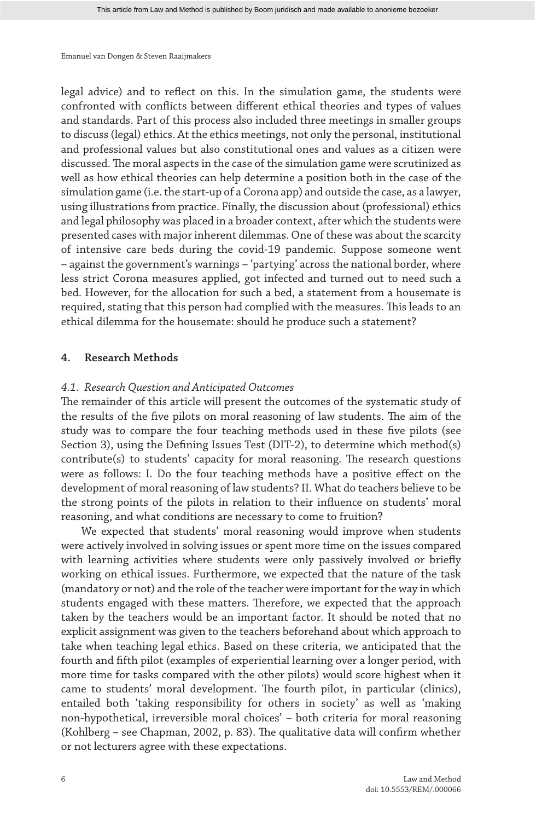legal advice) and to reflect on this. In the simulation game, the students were confronted with conflicts between different ethical theories and types of values and standards. Part of this process also included three meetings in smaller groups to discuss (legal) ethics. At the ethics meetings, not only the personal, institutional and professional values but also constitutional ones and values as a citizen were discussed. The moral aspects in the case of the simulation game were scrutinized as well as how ethical theories can help determine a position both in the case of the simulation game (i.e. the start-up of a Corona app) and outside the case, as a lawyer, using illustrations from practice. Finally, the discussion about (professional) ethics and legal philosophy was placed in a broader context, after which the students were presented cases with major inherent dilemmas. One of these was about the scarcity of intensive care beds during the covid-19 pandemic. Suppose someone went – against the government's warnings – 'partying' across the national border, where less strict Corona measures applied, got infected and turned out to need such a bed. However, for the allocation for such a bed, a statement from a housemate is required, stating that this person had complied with the measures. This leads to an ethical dilemma for the housemate: should he produce such a statement?

## **4. Research Methods**

### *4.1. Research Question and Anticipated Outcomes*

The remainder of this article will present the outcomes of the systematic study of the results of the five pilots on moral reasoning of law students. The aim of the study was to compare the four teaching methods used in these five pilots (see Section 3), using the Defining Issues Test (DIT-2), to determine which method(s) contribute(s) to students' capacity for moral reasoning. The research questions were as follows: I. Do the four teaching methods have a positive effect on the development of moral reasoning of law students? II. What do teachers believe to be the strong points of the pilots in relation to their influence on students' moral reasoning, and what conditions are necessary to come to fruition?

We expected that students' moral reasoning would improve when students were actively involved in solving issues or spent more time on the issues compared with learning activities where students were only passively involved or briefly working on ethical issues. Furthermore, we expected that the nature of the task (mandatory or not) and the role of the teacher were important for the way in which students engaged with these matters. Therefore, we expected that the approach taken by the teachers would be an important factor. It should be noted that no explicit assignment was given to the teachers beforehand about which approach to take when teaching legal ethics. Based on these criteria, we anticipated that the fourth and fifth pilot (examples of experiential learning over a longer period, with more time for tasks compared with the other pilots) would score highest when it came to students' moral development. The fourth pilot, in particular (clinics), entailed both 'taking responsibility for others in society' as well as 'making non-hypothetical, irreversible moral choices' – both criteria for moral reasoning (Kohlberg – see Chapman, 2002, p. 83). The qualitative data will confirm whether or not lecturers agree with these expectations.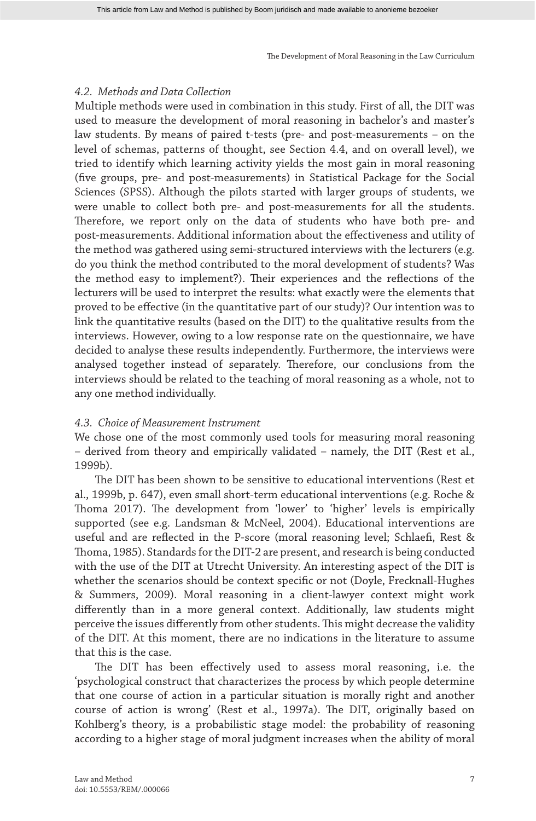# *4.2. Methods and Data Collection*

Multiple methods were used in combination in this study. First of all, the DIT was used to measure the development of moral reasoning in bachelor's and master's law students. By means of paired t-tests (pre- and post-measurements – on the level of schemas, patterns of thought, see Section 4.4, and on overall level), we tried to identify which learning activity yields the most gain in moral reasoning (five groups, pre- and post-measurements) in Statistical Package for the Social Sciences (SPSS). Although the pilots started with larger groups of students, we were unable to collect both pre- and post-measurements for all the students. Therefore, we report only on the data of students who have both pre- and post-measurements. Additional information about the effectiveness and utility of the method was gathered using semi-structured interviews with the lecturers (e.g. do you think the method contributed to the moral development of students? Was the method easy to implement?). Their experiences and the reflections of the lecturers will be used to interpret the results: what exactly were the elements that proved to be effective (in the quantitative part of our study)? Our intention was to link the quantitative results (based on the DIT) to the qualitative results from the interviews. However, owing to a low response rate on the questionnaire, we have decided to analyse these results independently. Furthermore, the interviews were analysed together instead of separately. Therefore, our conclusions from the interviews should be related to the teaching of moral reasoning as a whole, not to any one method individually.

# *4.3. Choice of Measurement Instrument*

We chose one of the most commonly used tools for measuring moral reasoning – derived from theory and empirically validated – namely, the DIT (Rest et al., 1999b).

The DIT has been shown to be sensitive to educational interventions (Rest et al., 1999b, p. 647), even small short-term educational interventions (e.g. Roche & Thoma 2017). The development from 'lower' to 'higher' levels is empirically supported (see e.g. Landsman & McNeel, 2004). Educational interventions are useful and are reflected in the P-score (moral reasoning level; Schlaefi, Rest & Thoma, 1985). Standards for the DIT-2 are present, and research is being conducted with the use of the DIT at Utrecht University. An interesting aspect of the DIT is whether the scenarios should be context specific or not (Doyle, Frecknall-Hughes & Summers, 2009). Moral reasoning in a client-lawyer context might work differently than in a more general context. Additionally, law students might perceive the issues differently from other students. This might decrease the validity of the DIT. At this moment, there are no indications in the literature to assume that this is the case.

The DIT has been effectively used to assess moral reasoning, i.e. the 'psychological construct that characterizes the process by which people determine that one course of action in a particular situation is morally right and another course of action is wrong' (Rest et al., 1997a). The DIT, originally based on Kohlberg's theory, is a probabilistic stage model: the probability of reasoning according to a higher stage of moral judgment increases when the ability of moral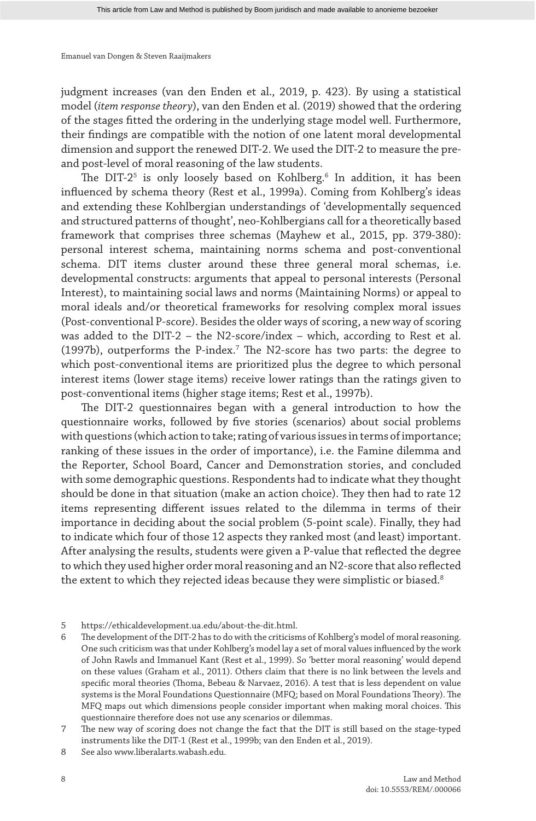judgment increases (van den Enden et al., 2019, p. 423). By using a statistical model (*item response theory*), van den Enden et al. (2019) showed that the ordering of the stages fitted the ordering in the underlying stage model well. Furthermore, their findings are compatible with the notion of one latent moral developmental dimension and support the renewed DIT-2. We used the DIT-2 to measure the preand post-level of moral reasoning of the law students.

The DIT-2<sup>5</sup> is only loosely based on Kohlberg.<sup>6</sup> In addition, it has been influenced by schema theory (Rest et al., 1999a). Coming from Kohlberg's ideas and extending these Kohlbergian understandings of 'developmentally sequenced and structured patterns of thought', neo-Kohlbergians call for a theoretically based framework that comprises three schemas (Mayhew et al., 2015, pp. 379-380): personal interest schema, maintaining norms schema and post-conventional schema. DIT items cluster around these three general moral schemas, i.e. developmental constructs: arguments that appeal to personal interests (Personal Interest), to maintaining social laws and norms (Maintaining Norms) or appeal to moral ideals and/or theoretical frameworks for resolving complex moral issues (Post-conventional P-score). Besides the older ways of scoring, a new way of scoring was added to the DIT-2 – the N2-score/index – which, according to Rest et al. (1997b), outperforms the P-index.<sup>7</sup> The N2-score has two parts: the degree to which post-conventional items are prioritized plus the degree to which personal interest items (lower stage items) receive lower ratings than the ratings given to post-conventional items (higher stage items; Rest et al., 1997b).

The DIT-2 questionnaires began with a general introduction to how the questionnaire works, followed by five stories (scenarios) about social problems with questions (which action to take; rating of various issues in terms of importance; ranking of these issues in the order of importance), i.e. the Famine dilemma and the Reporter, School Board, Cancer and Demonstration stories, and concluded with some demographic questions. Respondents had to indicate what they thought should be done in that situation (make an action choice). They then had to rate 12 items representing different issues related to the dilemma in terms of their importance in deciding about the social problem (5-point scale). Finally, they had to indicate which four of those 12 aspects they ranked most (and least) important. After analysing the results, students were given a P-value that reflected the degree to which they used higher order moral reasoning and an N2-score that also reflected the extent to which they rejected ideas because they were simplistic or biased.<sup>8</sup>

- 5 https://ethicaldevelopment.ua.edu/about-the-dit.html.
- 6 The development of the DIT-2 has to do with the criticisms of Kohlberg's model of moral reasoning. One such criticism was that under Kohlberg's model lay a set of moral values influenced by the work of John Rawls and Immanuel Kant (Rest et al., 1999). So 'better moral reasoning' would depend on these values (Graham et al., 2011). Others claim that there is no link between the levels and specific moral theories (Thoma, Bebeau & Narvaez, 2016). A test that is less dependent on value systems is the Moral Foundations Questionnaire (MFQ; based on Moral Foundations Theory). The MFQ maps out which dimensions people consider important when making moral choices. This questionnaire therefore does not use any scenarios or dilemmas.
- 7 The new way of scoring does not change the fact that the DIT is still based on the stage-typed instruments like the DIT-1 (Rest et al., 1999b; van den Enden et al., 2019).
- 8 See also www.liberalarts.wabash.edu.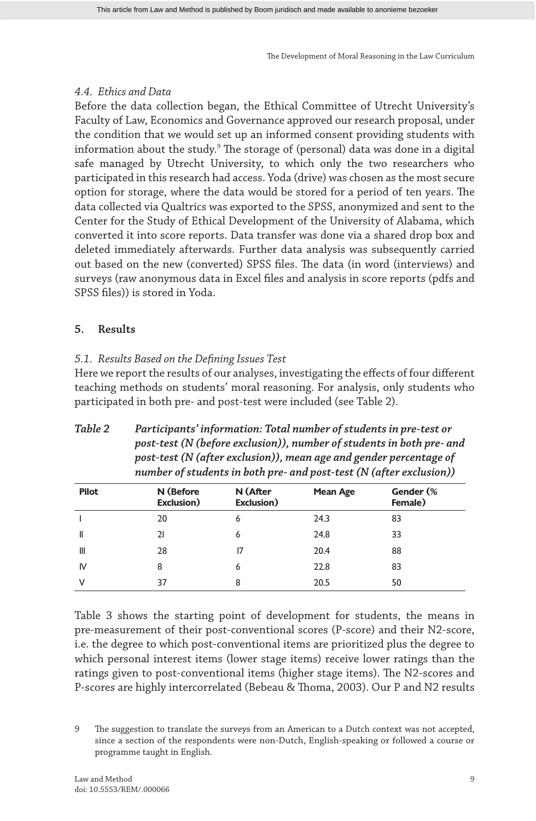# *4.4. Ethics and Data*

Before the data collection began, the Ethical Committee of Utrecht University's Faculty of Law, Economics and Governance approved our research proposal, under the condition that we would set up an informed consent providing students with information about the study.<sup>9</sup> The storage of (personal) data was done in a digital safe managed by Utrecht University, to which only the two researchers who participated in this research had access. Yoda (drive) was chosen as the most secure option for storage, where the data would be stored for a period of ten years. The data collected via Qualtrics was exported to the SPSS, anonymized and sent to the Center for the Study of Ethical Development of the University of Alabama, which converted it into score reports. Data transfer was done via a shared drop box and deleted immediately afterwards. Further data analysis was subsequently carried out based on the new (converted) SPSS files. The data (in word (interviews) and surveys (raw anonymous data in Excel files and analysis in score reports (pdfs and SPSS files)) is stored in Yoda.

# **5. Results**

# *5.1. Results Based on the Defining Issues Test*

Here we report the results of our analyses, investigating the effects of four different teaching methods on students' moral reasoning. For analysis, only students who participated in both pre- and post-test were included (see Table 2).

| <b>Pilot</b> | N (Before | N (After | Mean Age | Gender (%                                                                                                                                 |  |
|--------------|-----------|----------|----------|-------------------------------------------------------------------------------------------------------------------------------------------|--|
|              |           |          |          | post-test (N (after exclusion)), mean age and gender percentage of<br>number of students in both pre- and post-test (N (after exclusion)) |  |
|              |           |          |          | post-test (N (before exclusion)), number of students in both pre- and                                                                     |  |

*Table 2 Participants' information: Total number of students in pre-test or* 

| <b>Pilot</b> | N (Before<br>Exclusion) | N (After<br>Exclusion) | <b>Mean Age</b> | Gender (%<br>Female) |
|--------------|-------------------------|------------------------|-----------------|----------------------|
|              | 20                      | 6                      | 24.3            | 83                   |
| Ш            | 21                      | 6                      | 24.8            | 33                   |
| Ш            | 28                      | 17                     | 20.4            | 88                   |
| IV           | 8                       | 6                      | 22.8            | 83                   |
| ν            | 37                      | 8                      | 20.5            | 50                   |

Table 3 shows the starting point of development for students, the means in pre-measurement of their post-conventional scores (P-score) and their N2-score, i.e. the degree to which post-conventional items are prioritized plus the degree to which personal interest items (lower stage items) receive lower ratings than the ratings given to post-conventional items (higher stage items). The N2-scores and P-scores are highly intercorrelated (Bebeau & Thoma, 2003). Our P and N2 results

<sup>9</sup> The suggestion to translate the surveys from an American to a Dutch context was not accepted, since a section of the respondents were non-Dutch, English-speaking or followed a course or programme taught in English.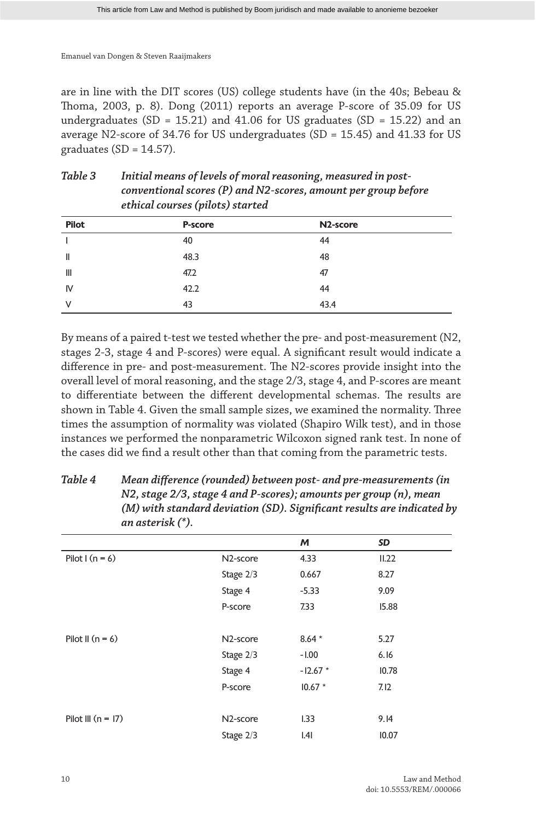are in line with the DIT scores (US) college students have (in the 40s; Bebeau & Thoma, 2003, p. 8). Dong (2011) reports an average P-score of 35.09 for US undergraduates (SD = 15.21) and 41.06 for US graduates (SD = 15.22) and an average N2-score of 34.76 for US undergraduates (SD = 15.45) and 41.33 for US graduates ( $SD = 14.57$ ).

| Table 3 | Initial means of levels of moral reasoning, measured in post-  |
|---------|----------------------------------------------------------------|
|         | conventional scores (P) and N2-scores, amount per group before |
|         | ethical courses (pilots) started                               |

| <b>Pilot</b>   | P-score | N <sub>2</sub> -score |
|----------------|---------|-----------------------|
|                | 40      | 44                    |
| $\mathsf{I}$   | 48.3    | 48                    |
| $\mathbf{III}$ | 47.2    | 47                    |
| IV             | 42.2    | 44                    |
| $\vee$         | 43      | 43.4                  |

By means of a paired t-test we tested whether the pre- and post-measurement (N2, stages 2-3, stage 4 and P-scores) were equal. A significant result would indicate a difference in pre- and post-measurement. The N2-scores provide insight into the overall level of moral reasoning, and the stage 2/3, stage 4, and P-scores are meant to differentiate between the different developmental schemas. The results are shown in Table 4. Given the small sample sizes, we examined the normality. Three times the assumption of normality was violated (Shapiro Wilk test), and in those instances we performed the nonparametric Wilcoxon signed rank test. In none of the cases did we find a result other than that coming from the parametric tests.

|                      |                       | M         | SD    |  |
|----------------------|-----------------------|-----------|-------|--|
| Pilot I ( $n = 6$ )  | N <sub>2</sub> -score | 4.33      | II.22 |  |
|                      | Stage 2/3             | 0.667     | 8.27  |  |
|                      | Stage 4               | $-5.33$   | 9.09  |  |
|                      | P-score               | 7.33      | 15.88 |  |
|                      |                       |           |       |  |
| Pilot II $(n = 6)$   | N <sub>2</sub> -score | $8.64*$   | 5.27  |  |
|                      | Stage 2/3             | $-1.00$   | 6.16  |  |
|                      | Stage 4               | $-12.67*$ | 10.78 |  |
|                      | P-score               | $10.67 *$ | 7.12  |  |
|                      |                       |           |       |  |
| Pilot III $(n = 17)$ | N <sub>2</sub> -score | L33       | 9.14  |  |
|                      | Stage $2/3$           | .4        | 10.07 |  |

*Table 4 Mean difference (rounded) between post- and pre-measurements (in N2, stage 2/3, stage 4 and P-scores); amounts per group (n), mean (M) with standard deviation (SD). Significant results are indicated by an asterisk (\*).*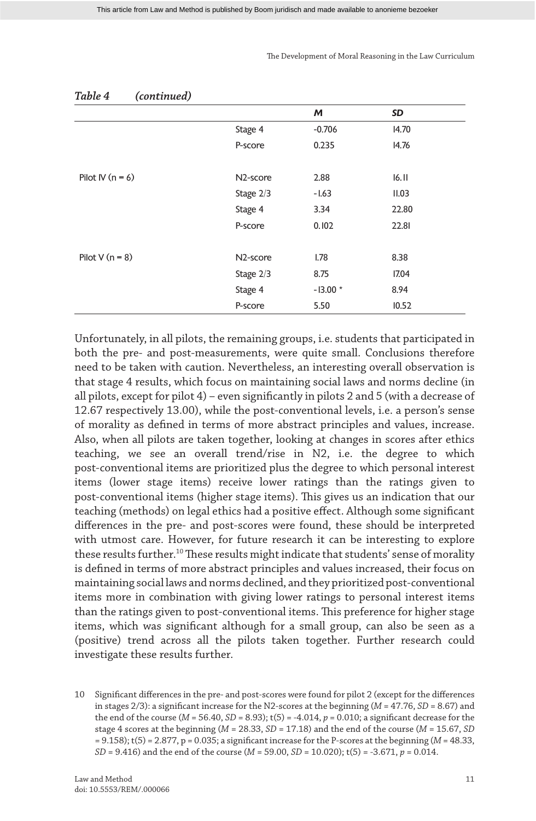| iuwic 1<br>$\frac{1}{2}$ |                       |           |       |
|--------------------------|-----------------------|-----------|-------|
|                          |                       | M         | SD    |
|                          | Stage 4               | $-0.706$  | 14.70 |
|                          | P-score               | 0.235     | 14.76 |
|                          |                       |           |       |
| Pilot IV $(n = 6)$       | N <sub>2</sub> -score | 2.88      | 16.11 |
|                          | Stage $2/3$           | $-1.63$   | II.03 |
|                          | Stage 4               | 3.34      | 22.80 |
|                          | P-score               | 0.102     | 22.81 |
|                          |                       |           |       |
| Pilot V $(n = 8)$        | N <sub>2</sub> -score | 1.78      | 8.38  |
|                          | Stage 2/3             | 8.75      | 17.04 |
|                          | Stage 4               | $-13.00*$ | 8.94  |
|                          | P-score               | 5.50      | 10.52 |

# *Table 4 (continued)*

Unfortunately, in all pilots, the remaining groups, i.e. students that participated in both the pre- and post-measurements, were quite small. Conclusions therefore need to be taken with caution. Nevertheless, an interesting overall observation is that stage 4 results, which focus on maintaining social laws and norms decline (in all pilots, except for pilot 4) – even significantly in pilots 2 and 5 (with a decrease of 12.67 respectively 13.00), while the post-conventional levels, i.e. a person's sense of morality as defined in terms of more abstract principles and values, increase. Also, when all pilots are taken together, looking at changes in scores after ethics teaching, we see an overall trend/rise in N2, i.e. the degree to which post-conventional items are prioritized plus the degree to which personal interest items (lower stage items) receive lower ratings than the ratings given to post-conventional items (higher stage items). This gives us an indication that our teaching (methods) on legal ethics had a positive effect. Although some significant differences in the pre- and post-scores were found, these should be interpreted with utmost care. However, for future research it can be interesting to explore these results further.<sup>10</sup> These results might indicate that students' sense of morality is defined in terms of more abstract principles and values increased, their focus on maintaining social laws and norms declined, and they prioritized post-conventional items more in combination with giving lower ratings to personal interest items than the ratings given to post-conventional items. This preference for higher stage items, which was significant although for a small group, can also be seen as a (positive) trend across all the pilots taken together. Further research could investigate these results further.

<sup>10</sup> Significant differences in the pre- and post-scores were found for pilot 2 (except for the differences in stages 2/3): a significant increase for the N2-scores at the beginning (*M* = 47.76, *SD* = 8.67) and the end of the course (*M* = 56.40, *SD* = 8.93); t(5) = -4.014, *p* = 0.010; a significant decrease for the stage 4 scores at the beginning (*M* = 28.33, *SD* = 17.18) and the end of the course (*M* = 15.67, *SD*  $= 9.158$ ); t(5) = 2.877, p = 0.035; a significant increase for the P-scores at the beginning (*M* = 48.33, *SD* = 9.416) and the end of the course (*M* = 59.00, *SD* = 10.020); t(5) = -3.671, *p* = 0.014.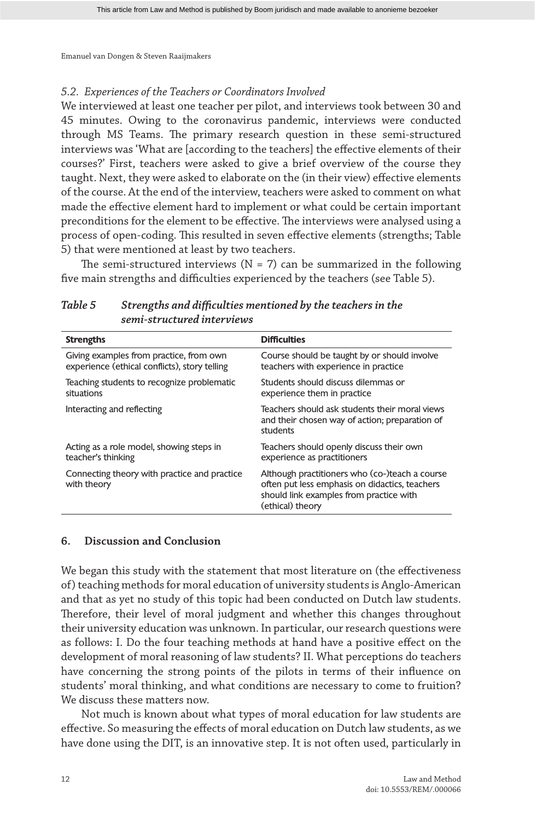# *5.2. Experiences of the Teachers or Coordinators Involved*

We interviewed at least one teacher per pilot, and interviews took between 30 and 45 minutes. Owing to the coronavirus pandemic, interviews were conducted through MS Teams. The primary research question in these semi-structured interviews was 'What are [according to the teachers] the effective elements of their courses?' First, teachers were asked to give a brief overview of the course they taught. Next, they were asked to elaborate on the (in their view) effective elements of the course. At the end of the interview, teachers were asked to comment on what made the effective element hard to implement or what could be certain important preconditions for the element to be effective. The interviews were analysed using a process of open-coding. This resulted in seven effective elements (strengths; Table 5) that were mentioned at least by two teachers.

The semi-structured interviews ( $N = 7$ ) can be summarized in the following five main strengths and difficulties experienced by the teachers (see Table 5).

| <b>Strengths</b>                                                                         | <b>Difficulties</b>                                                                                                                                             |
|------------------------------------------------------------------------------------------|-----------------------------------------------------------------------------------------------------------------------------------------------------------------|
|                                                                                          |                                                                                                                                                                 |
| Giving examples from practice, from own<br>experience (ethical conflicts), story telling | Course should be taught by or should involve<br>teachers with experience in practice                                                                            |
| Teaching students to recognize problematic<br>situations                                 | Students should discuss dilemmas or<br>experience them in practice                                                                                              |
| Interacting and reflecting                                                               | Teachers should ask students their moral views<br>and their chosen way of action; preparation of<br>students                                                    |
| Acting as a role model, showing steps in<br>teacher's thinking                           | Teachers should openly discuss their own<br>experience as practitioners                                                                                         |
| Connecting theory with practice and practice<br>with theory                              | Although practitioners who (co-)teach a course<br>often put less emphasis on didactics, teachers<br>should link examples from practice with<br>(ethical) theory |

*Table 5 Strengths and difficulties mentioned by the teachers in the semi-structured interviews*

# **6. Discussion and Conclusion**

We began this study with the statement that most literature on (the effectiveness of) teaching methods for moral education of university students is Anglo-American and that as yet no study of this topic had been conducted on Dutch law students. Therefore, their level of moral judgment and whether this changes throughout their university education was unknown. In particular, our research questions were as follows: I. Do the four teaching methods at hand have a positive effect on the development of moral reasoning of law students? II. What perceptions do teachers have concerning the strong points of the pilots in terms of their influence on students' moral thinking, and what conditions are necessary to come to fruition? We discuss these matters now.

Not much is known about what types of moral education for law students are effective. So measuring the effects of moral education on Dutch law students, as we have done using the DIT, is an innovative step. It is not often used, particularly in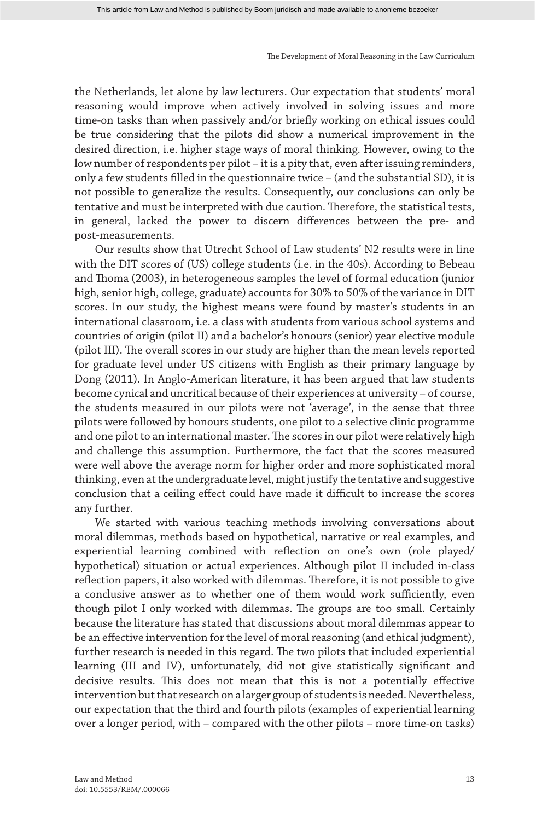the Netherlands, let alone by law lecturers. Our expectation that students' moral reasoning would improve when actively involved in solving issues and more time-on tasks than when passively and/or briefly working on ethical issues could be true considering that the pilots did show a numerical improvement in the desired direction, i.e. higher stage ways of moral thinking. However, owing to the low number of respondents per pilot – it is a pity that, even after issuing reminders, only a few students filled in the questionnaire twice – (and the substantial SD), it is not possible to generalize the results. Consequently, our conclusions can only be tentative and must be interpreted with due caution. Therefore, the statistical tests, in general, lacked the power to discern differences between the pre- and post-measurements.

Our results show that Utrecht School of Law students' N2 results were in line with the DIT scores of (US) college students (i.e. in the 40s). According to Bebeau and Thoma (2003), in heterogeneous samples the level of formal education (junior high, senior high, college, graduate) accounts for 30% to 50% of the variance in DIT scores. In our study, the highest means were found by master's students in an international classroom, i.e. a class with students from various school systems and countries of origin (pilot II) and a bachelor's honours (senior) year elective module (pilot III). The overall scores in our study are higher than the mean levels reported for graduate level under US citizens with English as their primary language by Dong (2011). In Anglo-American literature, it has been argued that law students become cynical and uncritical because of their experiences at university – of course, the students measured in our pilots were not 'average', in the sense that three pilots were followed by honours students, one pilot to a selective clinic programme and one pilot to an international master. The scores in our pilot were relatively high and challenge this assumption. Furthermore, the fact that the scores measured were well above the average norm for higher order and more sophisticated moral thinking, even at the undergraduate level, might justify the tentative and suggestive conclusion that a ceiling effect could have made it difficult to increase the scores any further.

We started with various teaching methods involving conversations about moral dilemmas, methods based on hypothetical, narrative or real examples, and experiential learning combined with reflection on one's own (role played/ hypothetical) situation or actual experiences. Although pilot II included in-class reflection papers, it also worked with dilemmas. Therefore, it is not possible to give a conclusive answer as to whether one of them would work sufficiently, even though pilot I only worked with dilemmas. The groups are too small. Certainly because the literature has stated that discussions about moral dilemmas appear to be an effective intervention for the level of moral reasoning (and ethical judgment), further research is needed in this regard. The two pilots that included experiential learning (III and IV), unfortunately, did not give statistically significant and decisive results. This does not mean that this is not a potentially effective intervention but that research on a larger group of students is needed. Nevertheless, our expectation that the third and fourth pilots (examples of experiential learning over a longer period, with – compared with the other pilots – more time-on tasks)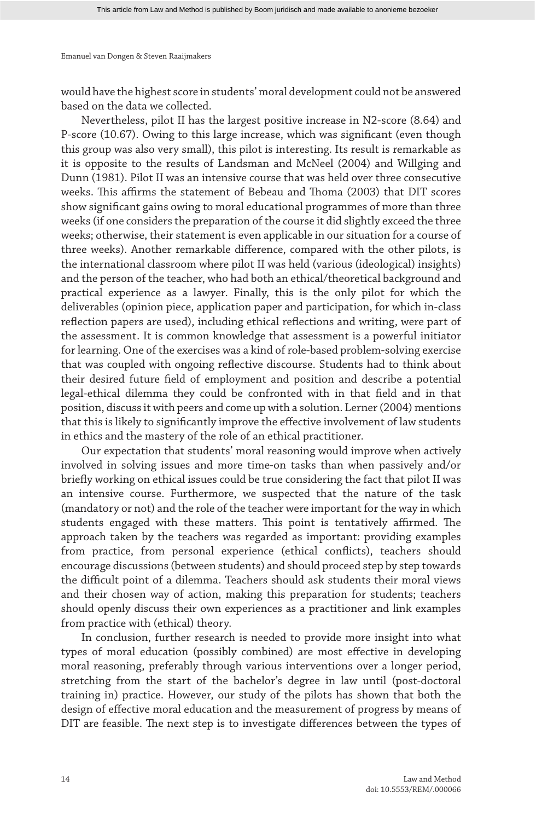would have the highest score in students' moral development could not be answered based on the data we collected.

Nevertheless, pilot II has the largest positive increase in N2-score (8.64) and P-score (10.67). Owing to this large increase, which was significant (even though this group was also very small), this pilot is interesting. Its result is remarkable as it is opposite to the results of Landsman and McNeel (2004) and Willging and Dunn (1981). Pilot II was an intensive course that was held over three consecutive weeks. This affirms the statement of Bebeau and Thoma (2003) that DIT scores show significant gains owing to moral educational programmes of more than three weeks (if one considers the preparation of the course it did slightly exceed the three weeks; otherwise, their statement is even applicable in our situation for a course of three weeks). Another remarkable difference, compared with the other pilots, is the international classroom where pilot II was held (various (ideological) insights) and the person of the teacher, who had both an ethical/theoretical background and practical experience as a lawyer. Finally, this is the only pilot for which the deliverables (opinion piece, application paper and participation, for which in-class reflection papers are used), including ethical reflections and writing, were part of the assessment. It is common knowledge that assessment is a powerful initiator for learning. One of the exercises was a kind of role-based problem-solving exercise that was coupled with ongoing reflective discourse. Students had to think about their desired future field of employment and position and describe a potential legal-ethical dilemma they could be confronted with in that field and in that position, discuss it with peers and come up with a solution. Lerner (2004) mentions that this is likely to significantly improve the effective involvement of law students in ethics and the mastery of the role of an ethical practitioner.

Our expectation that students' moral reasoning would improve when actively involved in solving issues and more time-on tasks than when passively and/or briefly working on ethical issues could be true considering the fact that pilot II was an intensive course. Furthermore, we suspected that the nature of the task (mandatory or not) and the role of the teacher were important for the way in which students engaged with these matters. This point is tentatively affirmed. The approach taken by the teachers was regarded as important: providing examples from practice, from personal experience (ethical conflicts), teachers should encourage discussions (between students) and should proceed step by step towards the difficult point of a dilemma. Teachers should ask students their moral views and their chosen way of action, making this preparation for students; teachers should openly discuss their own experiences as a practitioner and link examples from practice with (ethical) theory.

In conclusion, further research is needed to provide more insight into what types of moral education (possibly combined) are most effective in developing moral reasoning, preferably through various interventions over a longer period, stretching from the start of the bachelor's degree in law until (post-doctoral training in) practice. However, our study of the pilots has shown that both the design of effective moral education and the measurement of progress by means of DIT are feasible. The next step is to investigate differences between the types of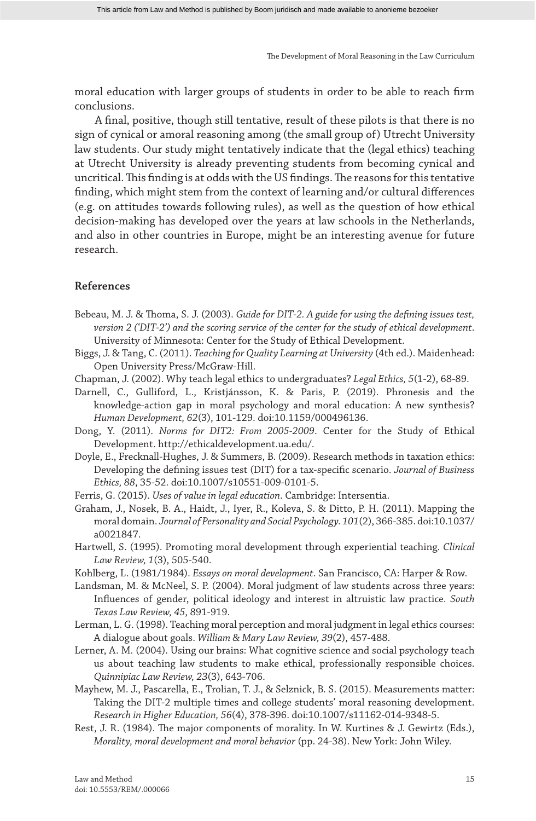moral education with larger groups of students in order to be able to reach firm conclusions.

A final, positive, though still tentative, result of these pilots is that there is no sign of cynical or amoral reasoning among (the small group of) Utrecht University law students. Our study might tentatively indicate that the (legal ethics) teaching at Utrecht University is already preventing students from becoming cynical and uncritical. This finding is at odds with the US findings. The reasons for this tentative finding, which might stem from the context of learning and/or cultural differences (e.g. on attitudes towards following rules), as well as the question of how ethical decision-making has developed over the years at law schools in the Netherlands, and also in other countries in Europe, might be an interesting avenue for future research.

## **References**

- Bebeau, M. J. & Thoma, S. J. (2003). *Guide for DIT-2. A guide for using the defining issues test, version 2 ('DIT-2') and the scoring service of the center for the study of ethical development*. University of Minnesota: Center for the Study of Ethical Development.
- Biggs, J. & Tang, C. (2011). *Teaching for Quality Learning at University* (4th ed.). Maidenhead: Open University Press/McGraw-Hill.
- Chapman, J. (2002). Why teach legal ethics to undergraduates? *Legal Ethics, 5*(1-2), 68-89.
- Darnell, C., Gulliford, L., Kristjánsson, K. & Paris, P. (2019). Phronesis and the knowledge-action gap in moral psychology and moral education: A new synthesis? *Human Development, 62*(3), 101-129. doi:10.1159/000496136.
- Dong, Y. (2011). *Norms for DIT2: From 2005-2009*. Center for the Study of Ethical Development. http://ethicaldevelopment.ua.edu/.
- Doyle, E., Frecknall-Hughes, J. & Summers, B. (2009). Research methods in taxation ethics: Developing the defining issues test (DIT) for a tax-specific scenario. *Journal of Business Ethics, 88*, 35-52. doi:10.1007/s10551-009-0101-5.
- Ferris, G. (2015). *Uses of value in legal education*. Cambridge: Intersentia.
- Graham, J., Nosek, B. A., Haidt, J., Iyer, R., Koleva, S. & Ditto, P. H. (2011). Mapping the moral domain. *Journal of Personality and Social Psychology. 101*(2), 366-385. doi:10.1037/ a0021847.
- Hartwell, S. (1995). Promoting moral development through experiential teaching. *Clinical Law Review, 1*(3), 505-540.
- Kohlberg, L. (1981/1984). *Essays on moral development*. San Francisco, CA: Harper & Row.
- Landsman, M. & McNeel, S. P. (2004). Moral judgment of law students across three years: Influences of gender, political ideology and interest in altruistic law practice. *South Texas Law Review, 45*, 891-919.
- Lerman, L. G. (1998). Teaching moral perception and moral judgment in legal ethics courses: A dialogue about goals. *William & Mary Law Review, 39*(2), 457-488.
- Lerner, A. M. (2004). Using our brains: What cognitive science and social psychology teach us about teaching law students to make ethical, professionally responsible choices. *Quinnipiac Law Review, 23*(3), 643-706.
- Mayhew, M. J., Pascarella, E., Trolian, T. J., & Selznick, B. S. (2015). Measurements matter: Taking the DIT-2 multiple times and college students' moral reasoning development. *Research in Higher Education, 56*(4), 378-396. doi:10.1007/s11162-014-9348-5.
- Rest, J. R. (1984). The major components of morality. In W. Kurtines & J. Gewirtz (Eds.), *Morality, moral development and moral behavior* (pp. 24-38). New York: John Wiley.